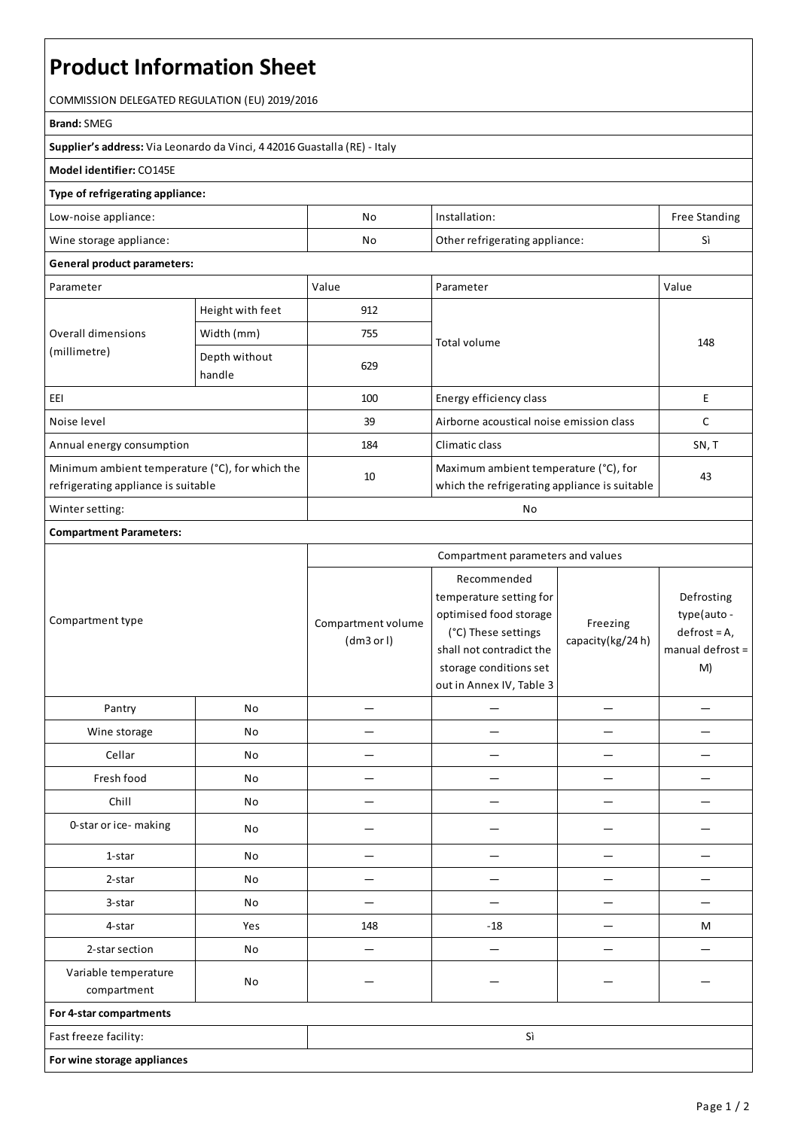# **Product Information Sheet**

COMMISSION DELEGATED REGULATION (EU) 2019/2016

#### **Brand:**SMEG

**Supplier's address:** ViaLeonardo da Vinci, 4 42016 Guastalla(RE) - Italy

### **Model identifier:** CO145E

### **Type of refrigerating appliance:**

| Low-noise appliance:    | Nc | Installation:                  | <b>Free Standing</b> |
|-------------------------|----|--------------------------------|----------------------|
| Wine storage appliance: | No | Other refrigerating appliance: |                      |

#### **General product parameters:**

| Parameter                                                                              |                         | Value | Parameter                                                                              | Value |
|----------------------------------------------------------------------------------------|-------------------------|-------|----------------------------------------------------------------------------------------|-------|
| Overall dimensions<br>(millimetre)                                                     | Height with feet        | 912   |                                                                                        | 148   |
|                                                                                        | Width (mm)              | 755   | Total volume                                                                           |       |
|                                                                                        | Depth without<br>handle | 629   |                                                                                        |       |
| EEI                                                                                    |                         | 100   | Energy efficiency class                                                                | E     |
| Noise level                                                                            |                         | 39    | Airborne acoustical noise emission class                                               |       |
| Annual energy consumption                                                              |                         | 184   | Climatic class                                                                         | SN, T |
| Minimum ambient temperature (°C), for which the<br>refrigerating appliance is suitable |                         | 10    | Maximum ambient temperature (°C), for<br>which the refrigerating appliance is suitable | 43    |
| Winter setting:                                                                        |                         | No    |                                                                                        |       |

## **Compartment Parameters:**

|                                     |     | Compartment parameters and values |                                                                                                                                                                           |                              |                                                                      |
|-------------------------------------|-----|-----------------------------------|---------------------------------------------------------------------------------------------------------------------------------------------------------------------------|------------------------------|----------------------------------------------------------------------|
| Compartment type                    |     | Compartment volume<br>(dm3 or l)  | Recommended<br>temperature setting for<br>optimised food storage<br>(°C) These settings<br>shall not contradict the<br>storage conditions set<br>out in Annex IV, Table 3 | Freezing<br>capacity(kg/24h) | Defrosting<br>type(auto-<br>$defrost = A,$<br>manual defrost =<br>M) |
| Pantry                              | No  |                                   |                                                                                                                                                                           |                              |                                                                      |
| Wine storage                        | No  |                                   |                                                                                                                                                                           |                              |                                                                      |
| Cellar                              | No  |                                   |                                                                                                                                                                           |                              |                                                                      |
| Fresh food                          | No  |                                   |                                                                                                                                                                           |                              |                                                                      |
| Chill                               | No  |                                   |                                                                                                                                                                           |                              |                                                                      |
| 0-star or ice-making                | No  |                                   |                                                                                                                                                                           |                              |                                                                      |
| 1-star                              | No  |                                   |                                                                                                                                                                           |                              |                                                                      |
| 2-star                              | No  |                                   |                                                                                                                                                                           |                              |                                                                      |
| 3-star                              | No  |                                   |                                                                                                                                                                           |                              |                                                                      |
| 4-star                              | Yes | 148                               | $-18$                                                                                                                                                                     |                              | M                                                                    |
| 2-star section                      | No  |                                   |                                                                                                                                                                           |                              |                                                                      |
| Variable temperature<br>compartment | No  |                                   |                                                                                                                                                                           |                              |                                                                      |
| For 4-star compartments             |     |                                   |                                                                                                                                                                           |                              |                                                                      |
| Fast freeze facility:               |     |                                   | Sì                                                                                                                                                                        |                              |                                                                      |
| For wine storage appliances         |     |                                   |                                                                                                                                                                           |                              |                                                                      |